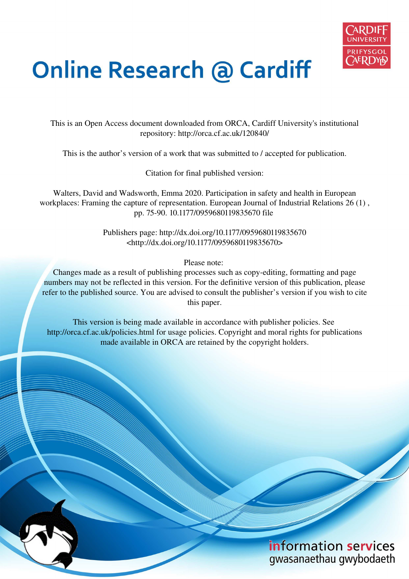

# **Online Research @ Cardiff**

This is an Open Access document downloaded from ORCA, Cardiff University's institutional repository: http://orca.cf.ac.uk/120840/

This is the author's version of a work that was submitted to / accepted for publication.

Citation for final published version:

Walters, David and Wadsworth, Emma 2020. Participation in safety and health in European workplaces: Framing the capture of representation. European Journal of Industrial Relations 26 (1) , pp. 75-90. 10.1177/0959680119835670 file

> Publishers page: http://dx.doi.org/10.1177/0959680119835670 <http://dx.doi.org/10.1177/0959680119835670>

> > Please note:

Changes made as a result of publishing processes such as copy-editing, formatting and page numbers may not be reflected in this version. For the definitive version of this publication, please refer to the published source. You are advised to consult the publisher's version if you wish to cite this paper.

This version is being made available in accordance with publisher policies. See http://orca.cf.ac.uk/policies.html for usage policies. Copyright and moral rights for publications made available in ORCA are retained by the copyright holders.

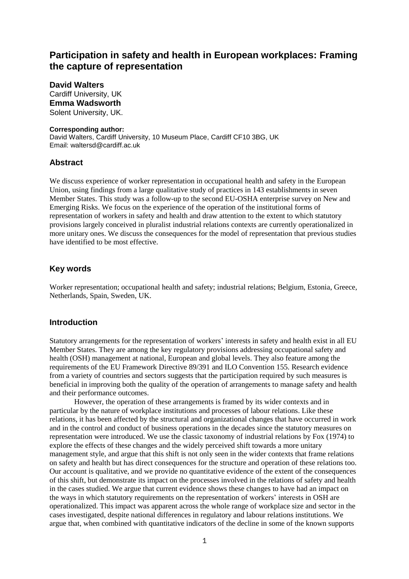# **Participation in safety and health in European workplaces: Framing the capture of representation**

**David Walters**  Cardiff University, UK **Emma Wadsworth**  Solent University, UK.

#### **Corresponding author:**

David Walters, Cardiff University, 10 Museum Place, Cardiff CF10 3BG, UK Email: waltersd@cardiff.ac.uk

#### **Abstract**

We discuss experience of worker representation in occupational health and safety in the European Union, using findings from a large qualitative study of practices in 143 establishments in seven Member States. This study was a follow-up to the second EU-OSHA enterprise survey on New and Emerging Risks. We focus on the experience of the operation of the institutional forms of representation of workers in safety and health and draw attention to the extent to which statutory provisions largely conceived in pluralist industrial relations contexts are currently operationalized in more unitary ones. We discuss the consequences for the model of representation that previous studies have identified to be most effective.

## **Key words**

Worker representation; occupational health and safety; industrial relations; Belgium, Estonia, Greece, Netherlands, Spain, Sweden, UK.

#### **Introduction**

Statutory arrangements for the representation of workers' interests in safety and health exist in all EU Member States. They are among the key regulatory provisions addressing occupational safety and health (OSH) management at national, European and global levels. They also feature among the requirements of the EU Framework Directive 89/391 and ILO Convention 155. Research evidence from a variety of countries and sectors suggests that the participation required by such measures is beneficial in improving both the quality of the operation of arrangements to manage safety and health and their performance outcomes.

 However, the operation of these arrangements is framed by its wider contexts and in particular by the nature of workplace institutions and processes of labour relations. Like these relations, it has been affected by the structural and organizational changes that have occurred in work and in the control and conduct of business operations in the decades since the statutory measures on representation were introduced. We use the classic taxonomy of industrial relations by Fox (1974) to explore the effects of these changes and the widely perceived shift towards a more unitary management style, and argue that this shift is not only seen in the wider contexts that frame relations on safety and health but has direct consequences for the structure and operation of these relations too. Our account is qualitative, and we provide no quantitative evidence of the extent of the consequences of this shift, but demonstrate its impact on the processes involved in the relations of safety and health in the cases studied. We argue that current evidence shows these changes to have had an impact on the ways in which statutory requirements on the representation of workers' interests in OSH are operationalized. This impact was apparent across the whole range of workplace size and sector in the cases investigated, despite national differences in regulatory and labour relations institutions. We argue that, when combined with quantitative indicators of the decline in some of the known supports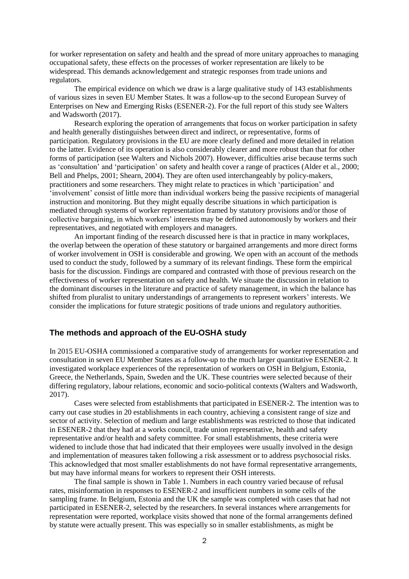for worker representation on safety and health and the spread of more unitary approaches to managing occupational safety, these effects on the processes of worker representation are likely to be widespread. This demands acknowledgement and strategic responses from trade unions and regulators.

 The empirical evidence on which we draw is a large qualitative study of 143 establishments of various sizes in seven EU Member States. It was a follow-up to the second European Survey of Enterprises on New and Emerging Risks (ESENER-2). For the full report of this study see Walters and Wadsworth (2017).

Research exploring the operation of arrangements that focus on worker participation in safety and health generally distinguishes between direct and indirect, or representative, forms of participation. Regulatory provisions in the EU are more clearly defined and more detailed in relation to the latter. Evidence of its operation is also considerably clearer and more robust than that for other forms of participation (see Walters and Nichols 2007). However, difficulties arise because terms such as 'consultation' and 'participation' on safety and health cover a range of practices (Alder et al., 2000; Bell and Phelps, 2001; Shearn, 2004). They are often used interchangeably by policy-makers, practitioners and some researchers. They might relate to practices in which 'participation' and 'involvement' consist of little more than individual workers being the passive recipients of managerial instruction and monitoring. But they might equally describe situations in which participation is mediated through systems of worker representation framed by statutory provisions and/or those of collective bargaining, in which workers' interests may be defined autonomously by workers and their representatives, and negotiated with employers and managers.

An important finding of the research discussed here is that in practice in many workplaces, the overlap between the operation of these statutory or bargained arrangements and more direct forms of worker involvement in OSH is considerable and growing. We open with an account of the methods used to conduct the study, followed by a summary of its relevant findings. These form the empirical basis for the discussion. Findings are compared and contrasted with those of previous research on the effectiveness of worker representation on safety and health. We situate the discussion in relation to the dominant discourses in the literature and practice of safety management, in which the balance has shifted from pluralist to unitary understandings of arrangements to represent workers' interests. We consider the implications for future strategic positions of trade unions and regulatory authorities.

## **The methods and approach of the EU-OSHA study**

In 2015 EU-OSHA commissioned a comparative study of arrangements for worker representation and consultation in seven EU Member States as a follow-up to the much larger quantitative ESENER-2. It investigated workplace experiences of the representation of workers on OSH in Belgium, Estonia, Greece, the Netherlands, Spain, Sweden and the UK. These countries were selected because of their differing regulatory, labour relations, economic and socio-political contexts (Walters and Wadsworth, 2017).

Cases were selected from establishments that participated in ESENER-2. The intention was to carry out case studies in 20 establishments in each country, achieving a consistent range of size and sector of activity. Selection of medium and large establishments was restricted to those that indicated in ESENER-2 that they had at a works council, trade union representative, health and safety representative and/or health and safety committee. For small establishments, these criteria were widened to include those that had indicated that their employees were usually involved in the design and implementation of measures taken following a risk assessment or to address psychosocial risks. This acknowledged that most smaller establishments do not have formal representative arrangements, but may have informal means for workers to represent their OSH interests.

The final sample is shown in Table 1. Numbers in each country varied because of refusal rates, misinformation in responses to ESENER-2 and insufficient numbers in some cells of the sampling frame. In Belgium, Estonia and the UK the sample was completed with cases that had not participated in ESENER-2, selected by the researchers.In several instances where arrangements for representation were reported, workplace visits showed that none of the formal arrangements defined by statute were actually present. This was especially so in smaller establishments, as might be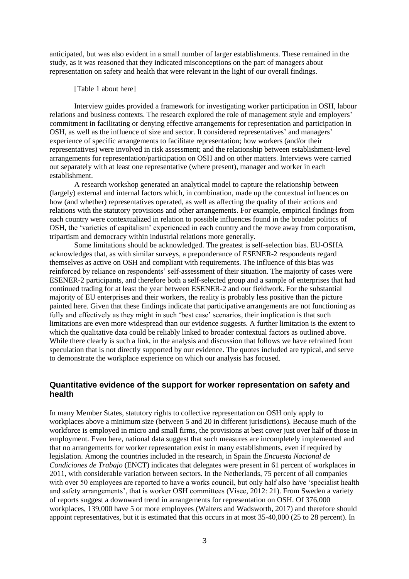anticipated, but was also evident in a small number of larger establishments. These remained in the study, as it was reasoned that they indicated misconceptions on the part of managers about representation on safety and health that were relevant in the light of our overall findings.

#### [Table 1 about here]

Interview guides provided a framework for investigating worker participation in OSH, labour relations and business contexts. The research explored the role of management style and employers' commitment in facilitating or denying effective arrangements for representation and participation in OSH, as well as the influence of size and sector. It considered representatives' and managers' experience of specific arrangements to facilitate representation; how workers (and/or their representatives) were involved in risk assessment; and the relationship between establishment-level arrangements for representation/participation on OSH and on other matters. Interviews were carried out separately with at least one representative (where present), manager and worker in each establishment.

A research workshop generated an analytical model to capture the relationship between (largely) external and internal factors which, in combination, made up the contextual influences on how (and whether) representatives operated, as well as affecting the quality of their actions and relations with the statutory provisions and other arrangements. For example, empirical findings from each country were contextualized in relation to possible influences found in the broader politics of OSH, the 'varieties of capitalism' experienced in each country and the move away from corporatism, tripartism and democracy within industrial relations more generally.

Some limitations should be acknowledged. The greatest is self-selection bias. EU-OSHA acknowledges that, as with similar surveys, a preponderance of ESENER-2 respondents regard themselves as active on OSH and compliant with requirements. The influence of this bias was reinforced by reliance on respondents' self-assessment of their situation. The majority of cases were ESENER-2 participants, and therefore both a self-selected group and a sample of enterprises that had continued trading for at least the year between ESENER-2 and our fieldwork. For the substantial majority of EU enterprises and their workers, the reality is probably less positive than the picture painted here. Given that these findings indicate that participative arrangements are not functioning as fully and effectively as they might in such 'best case' scenarios, their implication is that such limitations are even more widespread than our evidence suggests. A further limitation is the extent to which the qualitative data could be reliably linked to broader contextual factors as outlined above. While there clearly is such a link, in the analysis and discussion that follows we have refrained from speculation that is not directly supported by our evidence. The quotes included are typical, and serve to demonstrate the workplace experience on which our analysis has focused.

## **Quantitative evidence of the support for worker representation on safety and health**

In many Member States, statutory rights to collective representation on OSH only apply to workplaces above a minimum size (between 5 and 20 in different jurisdictions). Because much of the workforce is employed in micro and small firms, the provisions at best cover just over half of those in employment. Even here, national data suggest that such measures are incompletely implemented and that no arrangements for worker representation exist in many establishments, even if required by legislation. Among the countries included in the research, in Spain the *Encuesta Nacional de Condiciones de Trabajo* (ENCT) indicates that delegates were present in 61 percent of workplaces in 2011, with considerable variation between sectors. In the Netherlands, 75 percent of all companies with over 50 employees are reported to have a works council, but only half also have 'specialist health and safety arrangements', that is worker OSH committees (Visee, 2012: 21). From Sweden a variety of reports suggest a downward trend in arrangements for representation on OSH. Of 376,000 workplaces, 139,000 have 5 or more employees (Walters and Wadsworth, 2017) and therefore should appoint representatives, but it is estimated that this occurs in at most 35-40,000 (25 to 28 percent). In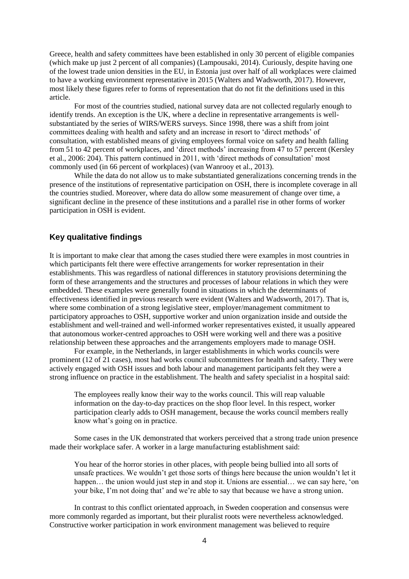Greece, health and safety committees have been established in only 30 percent of eligible companies (which make up just 2 percent of all companies) (Lampousaki, 2014). Curiously, despite having one of the lowest trade union densities in the EU, in Estonia just over half of all workplaces were claimed to have a working environment representative in 2015 (Walters and Wadsworth, 2017). However, most likely these figures refer to forms of representation that do not fit the definitions used in this article.

For most of the countries studied, national survey data are not collected regularly enough to identify trends. An exception is the UK, where a decline in representative arrangements is wellsubstantiated by the series of WIRS/WERS surveys. Since 1998, there was a shift from joint committees dealing with health and safety and an increase in resort to 'direct methods' of consultation, with established means of giving employees formal voice on safety and health falling from 51 to 42 percent of workplaces, and 'direct methods' increasing from 47 to 57 percent (Kersley et al., 2006: 204). This pattern continued in 2011, with 'direct methods of consultation' most commonly used (in 66 percent of workplaces) (van Wanrooy et al., 2013).

While the data do not allow us to make substantiated generalizations concerning trends in the presence of the institutions of representative participation on OSH, there is incomplete coverage in all the countries studied. Moreover, where data do allow some measurement of change over time, a significant decline in the presence of these institutions and a parallel rise in other forms of worker participation in OSH is evident.

## **Key qualitative findings**

It is important to make clear that among the cases studied there were examples in most countries in which participants felt there were effective arrangements for worker representation in their establishments. This was regardless of national differences in statutory provisions determining the form of these arrangements and the structures and processes of labour relations in which they were embedded. These examples were generally found in situations in which the determinants of effectiveness identified in previous research were evident (Walters and Wadsworth, 2017). That is, where some combination of a strong legislative steer, employer/management commitment to participatory approaches to OSH, supportive worker and union organization inside and outside the establishment and well-trained and well-informed worker representatives existed, it usually appeared that autonomous worker-centred approaches to OSH were working well and there was a positive relationship between these approaches and the arrangements employers made to manage OSH.

For example, in the Netherlands, in larger establishments in which works councils were prominent (12 of 21 cases), most had works council subcommittees for health and safety. They were actively engaged with OSH issues and both labour and management participants felt they were a strong influence on practice in the establishment. The health and safety specialist in a hospital said:

The employees really know their way to the works council. This will reap valuable information on the day-to-day practices on the shop floor level. In this respect, worker participation clearly adds to OSH management, because the works council members really know what's going on in practice.

Some cases in the UK demonstrated that workers perceived that a strong trade union presence made their workplace safer. A worker in a large manufacturing establishment said:

You hear of the horror stories in other places, with people being bullied into all sorts of unsafe practices. We wouldn't get those sorts of things here because the union wouldn't let it happen... the union would just step in and stop it. Unions are essential... we can say here, 'on your bike, I'm not doing that' and we're able to say that because we have a strong union.

In contrast to this conflict orientated approach, in Sweden cooperation and consensus were more commonly regarded as important, but their pluralist roots were nevertheless acknowledged. Constructive worker participation in work environment management was believed to require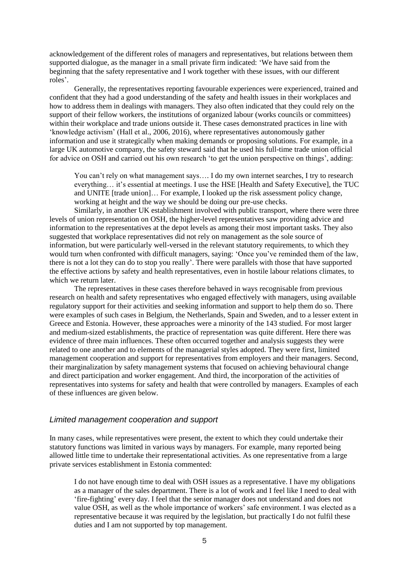acknowledgement of the different roles of managers and representatives, but relations between them supported dialogue, as the manager in a small private firm indicated: 'We have said from the beginning that the safety representative and I work together with these issues, with our different roles'.

Generally, the representatives reporting favourable experiences were experienced, trained and confident that they had a good understanding of the safety and health issues in their workplaces and how to address them in dealings with managers. They also often indicated that they could rely on the support of their fellow workers, the institutions of organized labour (works councils or committees) within their workplace and trade unions outside it. These cases demonstrated practices in line with 'knowledge activism' (Hall et al., 2006, 2016), where representatives autonomously gather information and use it strategically when making demands or proposing solutions. For example, in a large UK automotive company, the safety steward said that he used his full-time trade union official for advice on OSH and carried out his own research 'to get the union perspective on things', adding:

You can't rely on what management says.... I do my own internet searches, I try to research everything… it's essential at meetings. I use the HSE [Health and Safety Executive], the TUC and UNITE [trade union]… For example, I looked up the risk assessment policy change, working at height and the way we should be doing our pre-use checks.

Similarly, in another UK establishment involved with public transport, where there were three levels of union representation on OSH, the higher-level representatives saw providing advice and information to the representatives at the depot levels as among their most important tasks. They also suggested that workplace representatives did not rely on management as the sole source of information, but were particularly well-versed in the relevant statutory requirements, to which they would turn when confronted with difficult managers, saying: 'Once you've reminded them of the law, there is not a lot they can do to stop you really'. There were parallels with those that have supported the effective actions by safety and health representatives, even in hostile labour relations climates, to which we return later.

The representatives in these cases therefore behaved in ways recognisable from previous research on health and safety representatives who engaged effectively with managers, using available regulatory support for their activities and seeking information and support to help them do so. There were examples of such cases in Belgium, the Netherlands, Spain and Sweden, and to a lesser extent in Greece and Estonia. However, these approaches were a minority of the 143 studied. For most larger and medium-sized establishments, the practice of representation was quite different. Here there was evidence of three main influences. These often occurred together and analysis suggests they were related to one another and to elements of the managerial styles adopted. They were first, limited management cooperation and support for representatives from employers and their managers. Second, their marginalization by safety management systems that focused on achieving behavioural change and direct participation and worker engagement. And third, the incorporation of the activities of representatives into systems for safety and health that were controlled by managers. Examples of each of these influences are given below.

#### Limited management cooperation and support

In many cases, while representatives were present, the extent to which they could undertake their statutory functions was limited in various ways by managers. For example, many reported being allowed little time to undertake their representational activities. As one representative from a large private services establishment in Estonia commented:

I do not have enough time to deal with OSH issues as a representative. I have my obligations as a manager of the sales department. There is a lot of work and I feel like I need to deal with 'fire-fighting' every day. I feel that the senior manager does not understand and does not value OSH, as well as the whole importance of workers' safe environment. I was elected as a representative because it was required by the legislation, but practically I do not fulfil these duties and I am not supported by top management.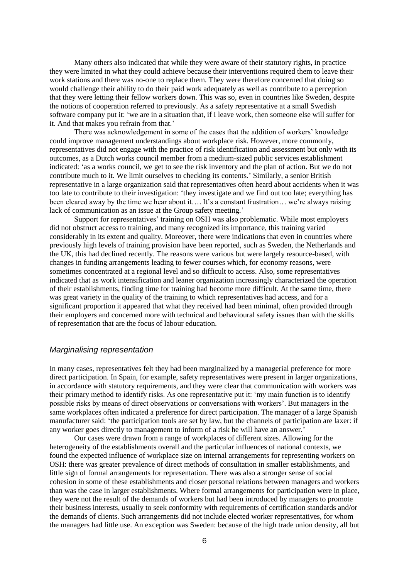Many others also indicated that while they were aware of their statutory rights, in practice they were limited in what they could achieve because their interventions required them to leave their work stations and there was no-one to replace them. They were therefore concerned that doing so would challenge their ability to do their paid work adequately as well as contribute to a perception that they were letting their fellow workers down. This was so, even in countries like Sweden, despite the notions of cooperation referred to previously. As a safety representative at a small Swedish software company put it: 'we are in a situation that, if I leave work, then someone else will suffer for it. And that makes you refrain from that.'

There was acknowledgement in some of the cases that the addition of workers' knowledge could improve management understandings about workplace risk. However, more commonly, representatives did not engage with the practice of risk identification and assessment but only with its outcomes, as a Dutch works council member from a medium-sized public services establishment indicated: 'as a works council, we get to see the risk inventory and the plan of action. But we do not contribute much to it. We limit ourselves to checking its contents.' Similarly, a senior British representative in a large organization said that representatives often heard about accidents when it was too late to contribute to their investigation: 'they investigate and we find out too late; everything has been cleared away by the time we hear about it…. It's a constant frustration… we're always raising lack of communication as an issue at the Group safety meeting.'

Support for representatives' training on OSH was also problematic. While most employers did not obstruct access to training, and many recognized its importance, this training varied considerably in its extent and quality. Moreover, there were indications that even in countries where previously high levels of training provision have been reported, such as Sweden, the Netherlands and the UK, this had declined recently. The reasons were various but were largely resource-based, with changes in funding arrangements leading to fewer courses which, for economy reasons, were sometimes concentrated at a regional level and so difficult to access. Also, some representatives indicated that as work intensification and leaner organization increasingly characterized the operation of their establishments, finding time for training had become more difficult. At the same time, there was great variety in the quality of the training to which representatives had access, and for a significant proportion it appeared that what they received had been minimal, often provided through their employers and concerned more with technical and behavioural safety issues than with the skills of representation that are the focus of labour education.

## Marginalising representation

In many cases, representatives felt they had been marginalized by a managerial preference for more direct participation. In Spain, for example, safety representatives were present in larger organizations, in accordance with statutory requirements, and they were clear that communication with workers was their primary method to identify risks. As one representative put it: 'my main function is to identify possible risks by means of direct observations or conversations with workers'. But managers in the same workplaces often indicated a preference for direct participation. The manager of a large Spanish manufacturer said: 'the participation tools are set by law, but the channels of participation are laxer: if any worker goes directly to management to inform of a risk he will have an answer*.*'

Our cases were drawn from a range of workplaces of different sizes. Allowing for the heterogeneity of the establishments overall and the particular influences of national contexts, we found the expected influence of workplace size on internal arrangements for representing workers on OSH: there was greater prevalence of direct methods of consultation in smaller establishments, and little sign of formal arrangements for representation. There was also a stronger sense of social cohesion in some of these establishments and closer personal relations between managers and workers than was the case in larger establishments. Where formal arrangements for participation were in place, they were not the result of the demands of workers but had been introduced by managers to promote their business interests, usually to seek conformity with requirements of certification standards and/or the demands of clients. Such arrangements did not include elected worker representatives, for whom the managers had little use. An exception was Sweden: because of the high trade union density, all but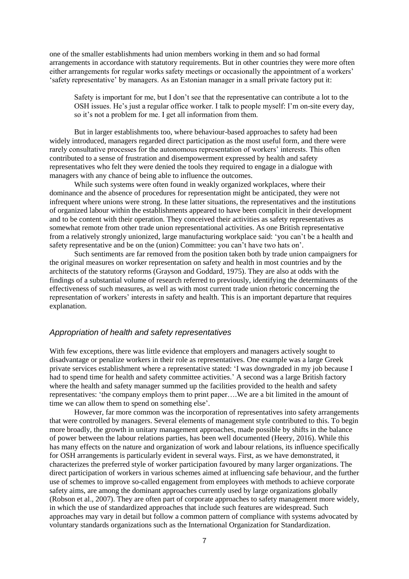one of the smaller establishments had union members working in them and so had formal arrangements in accordance with statutory requirements. But in other countries they were more often either arrangements for regular works safety meetings or occasionally the appointment of a workers' 'safety representative' by managers. As an Estonian manager in a small private factory put it:

Safety is important for me, but I don't see that the representative can contribute a lot to the OSH issues. He's just a regular office worker. I talk to people myself: I'm on-site every day, so it's not a problem for me. I get all information from them.

But in larger establishments too, where behaviour-based approaches to safety had been widely introduced, managers regarded direct participation as the most useful form, and there were rarely consultative processes for the autonomous representation of workers' interests. This often contributed to a sense of frustration and disempowerment expressed by health and safety representatives who felt they were denied the tools they required to engage in a dialogue with managers with any chance of being able to influence the outcomes.

While such systems were often found in weakly organized workplaces, where their dominance and the absence of procedures for representation might be anticipated, they were not infrequent where unions were strong. In these latter situations, the representatives and the institutions of organized labour within the establishments appeared to have been complicit in their development and to be content with their operation. They conceived their activities as safety representatives as somewhat remote from other trade union representational activities. As one British representative from a relatively strongly unionized, large manufacturing workplace said: 'you can't be a health and safety representative and be on the (union) Committee: you can't have two hats on'.

Such sentiments are far removed from the position taken both by trade union campaigners for the original measures on worker representation on safety and health in most countries and by the architects of the statutory reforms (Grayson and Goddard, 1975). They are also at odds with the findings of a substantial volume of research referred to previously, identifying the determinants of the effectiveness of such measures, as well as with most current trade union rhetoric concerning the representation of workers' interests in safety and health. This is an important departure that requires explanation.

#### Appropriation of health and safety representatives

With few exceptions, there was little evidence that employers and managers actively sought to disadvantage or penalize workers in their role as representatives. One example was a large Greek private services establishment where a representative stated: 'I was downgraded in my job because I had to spend time for health and safety committee activities.' A second was a large British factory where the health and safety manager summed up the facilities provided to the health and safety representatives: 'the company employs them to print paper….We are a bit limited in the amount of time we can allow them to spend on something else'.

However, far more common was the incorporation of representatives into safety arrangements that were controlled by managers. Several elements of management style contributed to this. To begin more broadly, the growth in unitary management approaches, made possible by shifts in the balance of power between the labour relations parties, has been well documented (Heery, 2016). While this has many effects on the nature and organization of work and labour relations, its influence specifically for OSH arrangements is particularly evident in several ways. First, as we have demonstrated, it characterizes the preferred style of worker participation favoured by many larger organizations. The direct participation of workers in various schemes aimed at influencing safe behaviour, and the further use of schemes to improve so-called engagement from employees with methods to achieve corporate safety aims, are among the dominant approaches currently used by large organizations globally (Robson et al., 2007). They are often part of corporate approaches to safety management more widely, in which the use of standardized approaches that include such features are widespread. Such approaches may vary in detail but follow a common pattern of compliance with systems advocated by voluntary standards organizations such as the International Organization for Standardization.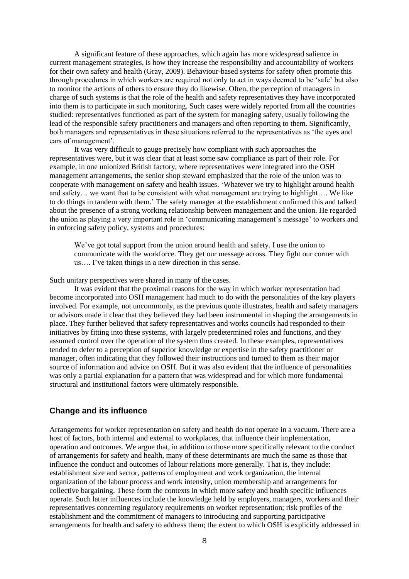A significant feature of these approaches, which again has more widespread salience in current management strategies, is how they increase the responsibility and accountability of workers for their own safety and health (Gray, 2009). Behaviour-based systems for safety often promote this through procedures in which workers are required not only to act in ways deemed to be 'safe' but also to monitor the actions of others to ensure they do likewise. Often, the perception of managers in charge of such systems is that the role of the health and safety representatives they have incorporated into them is to participate in such monitoring. Such cases were widely reported from all the countries studied: representatives functioned as part of the system for managing safety, usually following the lead of the responsible safety practitioners and managers and often reporting to them. Significantly, both managers and representatives in these situations referred to the representatives as 'the eyes and ears of management'.

It was very difficult to gauge precisely how compliant with such approaches the representatives were, but it was clear that at least some saw compliance as part of their role. For example, in one unionized British factory, where representatives were integrated into the OSH management arrangements, the senior shop steward emphasized that the role of the union was to cooperate with management on safety and health issues. 'Whatever we try to highlight around health and safety… we want that to be consistent with what management are trying to highlight…. We like to do things in tandem with them.' The safety manager at the establishment confirmed this and talked about the presence of a strong working relationship between management and the union. He regarded the union as playing a very important role in 'communicating management's message' to workers and in enforcing safety policy, systems and procedures:

We've got total support from the union around health and safety. I use the union to communicate with the workforce. They get our message across. They fight our corner with us…. I've taken things in a new direction in this sense.

Such unitary perspectives were shared in many of the cases.

It was evident that the proximal reasons for the way in which worker representation had become incorporated into OSH management had much to do with the personalities of the key players involved. For example, not uncommonly, as the previous quote illustrates, health and safety managers or advisors made it clear that they believed they had been instrumental in shaping the arrangements in place. They further believed that safety representatives and works councils had responded to their initiatives by fitting into these systems, with largely predetermined roles and functions, and they assumed control over the operation of the system thus created. In these examples, representatives tended to defer to a perception of superior knowledge or expertise in the safety practitioner or manager, often indicating that they followed their instructions and turned to them as their major source of information and advice on OSH. But it was also evident that the influence of personalities was only a partial explanation for a pattern that was widespread and for which more fundamental structural and institutional factors were ultimately responsible.

#### **Change and its influence**

Arrangements for worker representation on safety and health do not operate in a vacuum. There are a host of factors, both internal and external to workplaces, that influence their implementation, operation and outcomes. We argue that, in addition to those more specifically relevant to the conduct of arrangements for safety and health, many of these determinants are much the same as those that influence the conduct and outcomes of labour relations more generally. That is, they include: establishment size and sector, patterns of employment and work organization, the internal organization of the labour process and work intensity, union membership and arrangements for collective bargaining. These form the contexts in which more safety and health specific influences operate. Such latter influences include the knowledge held by employers, managers, workers and their representatives concerning regulatory requirements on worker representation; risk profiles of the establishment and the commitment of managers to introducing and supporting participative arrangements for health and safety to address them; the extent to which OSH is explicitly addressed in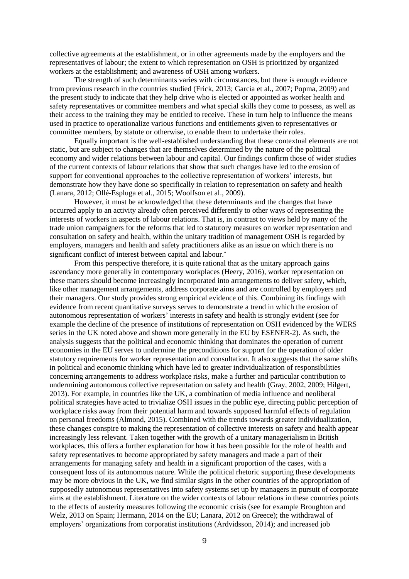collective agreements at the establishment, or in other agreements made by the employers and the representatives of labour; the extent to which representation on OSH is prioritized by organized workers at the establishment; and awareness of OSH among workers.

The strength of such determinants varies with circumstances, but there is enough evidence from previous research in the countries studied (Frick, 2013; García et al., 2007; Popma, 2009) and the present study to indicate that they help drive who is elected or appointed as worker health and safety representatives or committee members and what special skills they come to possess, as well as their access to the training they may be entitled to receive. These in turn help to influence the means used in practice to operationalize various functions and entitlements given to representatives or committee members, by statute or otherwise, to enable them to undertake their roles.

Equally important is the well-established understanding that these contextual elements are not static, but are subject to changes that are themselves determined by the nature of the political economy and wider relations between labour and capital. Our findings confirm those of wider studies of the current contexts of labour relations that show that such changes have led to the erosion of support for conventional approaches to the collective representation of workers' interests, but demonstrate how they have done so specifically in relation to representation on safety and health (Lanara, 2012; Ollé-Espluga et al., 2015; Woolfson et al., 2009).

However, it must be acknowledged that these determinants and the changes that have occurred apply to an activity already often perceived differently to other ways of representing the interests of workers in aspects of labour relations. That is, in contrast to views held by many of the trade union campaigners for the reforms that led to statutory measures on worker representation and consultation on safety and health, within the unitary tradition of management OSH is regarded by employers, managers and health and safety practitioners alike as an issue on which there is no significant conflict of interest between capital and labour.<sup>\*</sup>

From this perspective therefore, it is quite rational that as the unitary approach gains ascendancy more generally in contemporary workplaces (Heery, 2016), worker representation on these matters should become increasingly incorporated into arrangements to deliver safety, which, like other management arrangements, address corporate aims and are controlled by employers and their managers. Our study provides strong empirical evidence of this. Combining its findings with evidence from recent quantitative surveys serves to demonstrate a trend in which the erosion of autonomous representation of workers' interests in safety and health is strongly evident (see for example the decline of the presence of institutions of representation on OSH evidenced by the WERS series in the UK noted above and shown more generally in the EU by ESENER-2). As such, the analysis suggests that the political and economic thinking that dominates the operation of current economies in the EU serves to undermine the preconditions for support for the operation of older statutory requirements for worker representation and consultation. It also suggests that the same shifts in political and economic thinking which have led to greater individualization of responsibilities concerning arrangements to address workplace risks, make a further and particular contribution to undermining autonomous collective representation on safety and health (Gray, 2002, 2009; Hilgert, 2013). For example, in countries like the UK, a combination of media influence and neoliberal political strategies have acted to trivialize OSH issues in the public eye, directing public perception of workplace risks away from their potential harm and towards supposed harmful effects of regulation on personal freedoms (Almond, 2015). Combined with the trends towards greater individualization, these changes conspire to making the representation of collective interests on safety and health appear increasingly less relevant. Taken together with the growth of a unitary managerialism in British workplaces, this offers a further explanation for how it has been possible for the role of health and safety representatives to become appropriated by safety managers and made a part of their arrangements for managing safety and health in a significant proportion of the cases, with a consequent loss of its autonomous nature. While the political rhetoric supporting these developments may be more obvious in the UK, we find similar signs in the other countries of the appropriation of supposedly autonomous representatives into safety systems set up by managers in pursuit of corporate aims at the establishment. Literature on the wider contexts of labour relations in these countries points to the effects of austerity measures following the economic crisis (see for example Broughton and Welz, 2013 on Spain; Hermann, 2014 on the EU; Lanara, 2012 on Greece); the withdrawal of employers' organizations from corporatist institutions (Ardvidsson, 2014); and increased job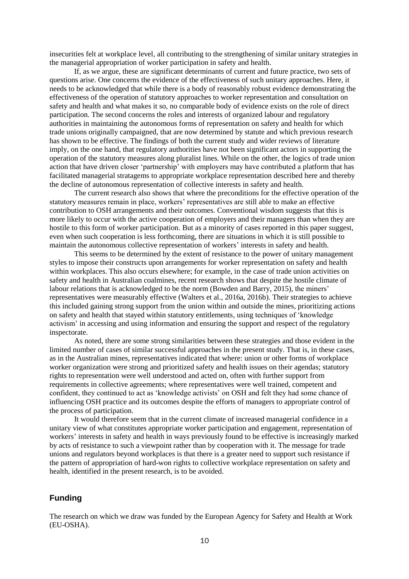insecurities felt at workplace level, all contributing to the strengthening of similar unitary strategies in the managerial appropriation of worker participation in safety and health.

If, as we argue, these are significant determinants of current and future practice, two sets of questions arise. One concerns the evidence of the effectiveness of such unitary approaches. Here, it needs to be acknowledged that while there is a body of reasonably robust evidence demonstrating the effectiveness of the operation of statutory approaches to worker representation and consultation on safety and health and what makes it so, no comparable body of evidence exists on the role of direct participation. The second concerns the roles and interests of organized labour and regulatory authorities in maintaining the autonomous forms of representation on safety and health for which trade unions originally campaigned, that are now determined by statute and which previous research has shown to be effective. The findings of both the current study and wider reviews of literature imply, on the one hand, that regulatory authorities have not been significant actors in supporting the operation of the statutory measures along pluralist lines. While on the other, the logics of trade union action that have driven closer 'partnership' with employers may have contributed a platform that has facilitated managerial stratagems to appropriate workplace representation described here and thereby the decline of autonomous representation of collective interests in safety and health.

The current research also shows that where the preconditions for the effective operation of the statutory measures remain in place, workers' representatives are still able to make an effective contribution to OSH arrangements and their outcomes. Conventional wisdom suggests that this is more likely to occur with the active cooperation of employers and their managers than when they are hostile to this form of worker participation. But as a minority of cases reported in this paper suggest, even when such cooperation is less forthcoming, there are situations in which it is still possible to maintain the autonomous collective representation of workers' interests in safety and health.

This seems to be determined by the extent of resistance to the power of unitary management styles to impose their constructs upon arrangements for worker representation on safety and health within workplaces. This also occurs elsewhere; for example, in the case of trade union activities on safety and health in Australian coalmines, recent research shows that despite the hostile climate of labour relations that is acknowledged to be the norm (Bowden and Barry, 2015), the miners' representatives were measurably effective (Walters et al., 2016a, 2016b). Their strategies to achieve this included gaining strong support from the union within and outside the mines, prioritizing actions on safety and health that stayed within statutory entitlements, using techniques of 'knowledge activism' in accessing and using information and ensuring the support and respect of the regulatory inspectorate.

As noted, there are some strong similarities between these strategies and those evident in the limited number of cases of similar successful approaches in the present study. That is, in these cases, as in the Australian mines, representatives indicated that where: union or other forms of workplace worker organization were strong and prioritized safety and health issues on their agendas; statutory rights to representation were well understood and acted on, often with further support from requirements in collective agreements; where representatives were well trained, competent and confident, they continued to act as 'knowledge activists' on OSH and felt they had some chance of influencing OSH practice and its outcomes despite the efforts of managers to appropriate control of the process of participation.

It would therefore seem that in the current climate of increased managerial confidence in a unitary view of what constitutes appropriate worker participation and engagement, representation of workers' interests in safety and health in ways previously found to be effective is increasingly marked by acts of resistance to such a viewpoint rather than by cooperation with it. The message for trade unions and regulators beyond workplaces is that there is a greater need to support such resistance if the pattern of appropriation of hard-won rights to collective workplace representation on safety and health, identified in the present research, is to be avoided.

## **Funding**

The research on which we draw was funded by the European Agency for Safety and Health at Work (EU-OSHA).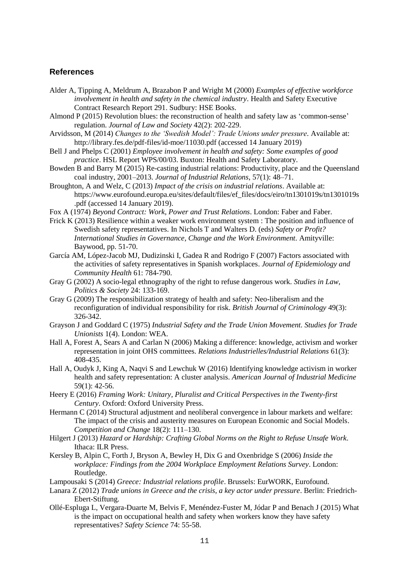## **References**

- Alder A, Tipping A, Meldrum A, Brazabon P and Wright M (2000) *Examples of effective workforce involvement in health and safety in the chemical industry*. Health and Safety Executive Contract Research Report 291. Sudbury: HSE Books.
- Almond P (2015) Revolution blues: the reconstruction of health and safety law as 'common-sense' regulation. *Journal of Law and Society* 42(2): 202-229.
- Arvidsson, M (2014) *Changes to the 'Swedish Model': Trade Unions under pressure.* Available at: http://library.fes.de/pdf-files/id-moe/11030.pdf (accessed 14 January 2019)
- Bell J and Phelps C (2001) *Employee involvement in health and safety: Some examples of good practice*. HSL Report WPS/00/03. Buxton: Health and Safety Laboratory.
- Bowden B and Barry M (2015) Re-casting industrial relations: Productivity, place and the Queensland coal industry, 2001–2013. *Journal of Industrial Relations*, 57(1): 48–71.
- Broughton, A and Welz, C (2013) *Impact of the crisis on industrial relations*. Available at: https://www.eurofound.europa.eu/sites/default/files/ef\_files/docs/eiro/tn1301019s/tn1301019s .pdf (accessed 14 January 2019).
- Fox A (1974) *Beyond Contract: Work, Power and Trust Relations*. London: Faber and Faber.
- Frick K (2013) Resilience within a weaker work environment system : The position and influence of Swedish safety representatives. In Nichols T and Walters D. (eds) *Safety or Profit? International Studies in Governance, Change and the Work Environment.* Amityville: Baywood, pp. 51-70.
- García AM, López-Jacob MJ, Dudizinski I, Gadea R and Rodrigo F (2007) Factors associated with the activities of safety representatives in Spanish workplaces. *Journal of Epidemiology and Community Health* 61: 784-790.
- Gray G (2002) A socio-legal ethnography of the right to refuse dangerous work. *Studies in Law, Politics & Society* 24: 133-169.
- Gray G (2009) The responsibilization strategy of health and safety: Neo-liberalism and the reconfiguration of individual responsibility for risk. *British Journal of Criminology* 49(3): 326-342.
- Grayson J and Goddard C (1975) *Industrial Safety and the Trade Union Movement. Studies for Trade Unionists* 1(4). London: WEA.
- Hall A, Forest A, Sears A and Carlan N (2006) Making a difference: knowledge, activism and worker representation in joint OHS committees. *Relations Industrielles/Industrial Relations* 61(3): 408-435.
- Hall A, Oudyk J, King A, Naqvi S and Lewchuk W (2016) Identifying knowledge activism in worker health and safety representation: A cluster analysis. *American Journal of Industrial Medicine* 59(1): 42-56.
- Heery E (2016) *Framing Work: Unitary, Pluralist and Critical Perspectives in the Twenty-first Century*. Oxford: Oxford University Press.
- Hermann C (2014) Structural adjustment and neoliberal convergence in labour markets and welfare: The impact of the crisis and austerity measures on European Economic and Social Models. *Competition and Change* 18(2): 111–130.
- Hilgert J (2013) *Hazard or Hardship: Crafting Global Norms on the Right to Refuse Unsafe Work.* Ithaca: ILR Press.
- Kersley B, Alpin C, Forth J, Bryson A, Bewley H, Dix G and Oxenbridge S (2006) *Inside the workplace: Findings from the 2004 Workplace Employment Relations Survey*. London: Routledge.
- Lampousaki S (2014) *Greece: Industrial relations profile*. Brussels: EurWORK, Eurofound.
- Lanara Z (2012) *Trade unions in Greece and the crisis, a key actor under pressure*. Berlin: Friedrich-Ebert-Stiftung.
- Ollé-Espluga L, Vergara-Duarte M, Belvis F, Menéndez-Fuster M, Jódar P and Benach J (2015) What is the impact on occupational health and safety when workers know they have safety representatives? *Safety Science* 74: 55-58.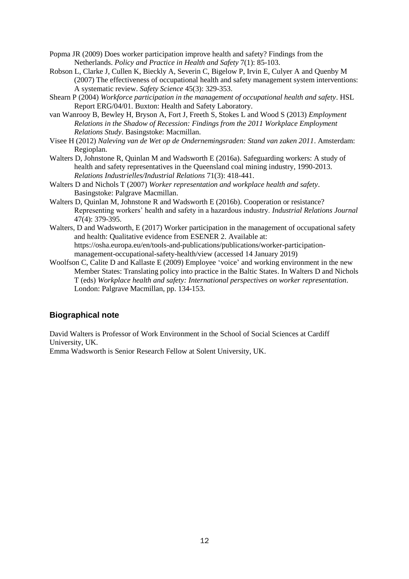- Popma JR (2009) Does worker participation improve health and safety? Findings from the Netherlands. *Policy and Practice in Health and Safety* 7(1): 85-103.
- Robson L, Clarke J, Cullen K, Bieckly A, Severin C, Bigelow P, Irvin E, Culyer A and Quenby M (2007) The effectiveness of occupational health and safety management system interventions: A systematic review. *Safety Science* 45(3): 329-353.
- Shearn P (2004) *Workforce participation in the management of occupational health and safety*. HSL Report ERG/04/01. Buxton: Health and Safety Laboratory.
- van Wanrooy B, Bewley H, Bryson A, Fort J, Freeth S, Stokes L and Wood S (2013) *Employment Relations in the Shadow of Recession: Findings from the 2011 Workplace Employment Relations Study*. Basingstoke: Macmillan.
- Visee H (2012) *Naleving van de Wet op de Ondernemingsraden: Stand van zaken 2011*. Amsterdam: Regioplan.
- Walters D, Johnstone R, Quinlan M and Wadsworth E (2016a). Safeguarding workers: A study of health and safety representatives in the Queensland coal mining industry, 1990-2013. *Relations Industrielles/Industrial Relations* 71(3): 418-441.
- Walters D and Nichols T (2007) *Worker representation and workplace health and safety*. Basingstoke: Palgrave Macmillan.
- Walters D, Quinlan M, Johnstone R and Wadsworth E (2016b). Cooperation or resistance? Representing workers' health and safety in a hazardous industry. *Industrial Relations Journal* 47(4): 379-395.
- Walters, D and Wadsworth, E (2017) Worker participation in the management of occupational safety and health: Qualitative evidence from ESENER 2. Available at: https://osha.europa.eu/en/tools-and-publications/publications/worker-participationmanagement-occupational-safety-health/view (accessed 14 January 2019)
- Woolfson C, Calite D and Kallaste E (2009) Employee 'voice' and working environment in the new Member States: Translating policy into practice in the Baltic States. In Walters D and Nichols T (eds) *Workplace health and safety: International perspectives on worker representation*. London: Palgrave Macmillan, pp. 134-153.

## **Biographical note**

David Walters is Professor of Work Environment in the School of Social Sciences at Cardiff University, UK.

Emma Wadsworth is Senior Research Fellow at Solent University, UK.